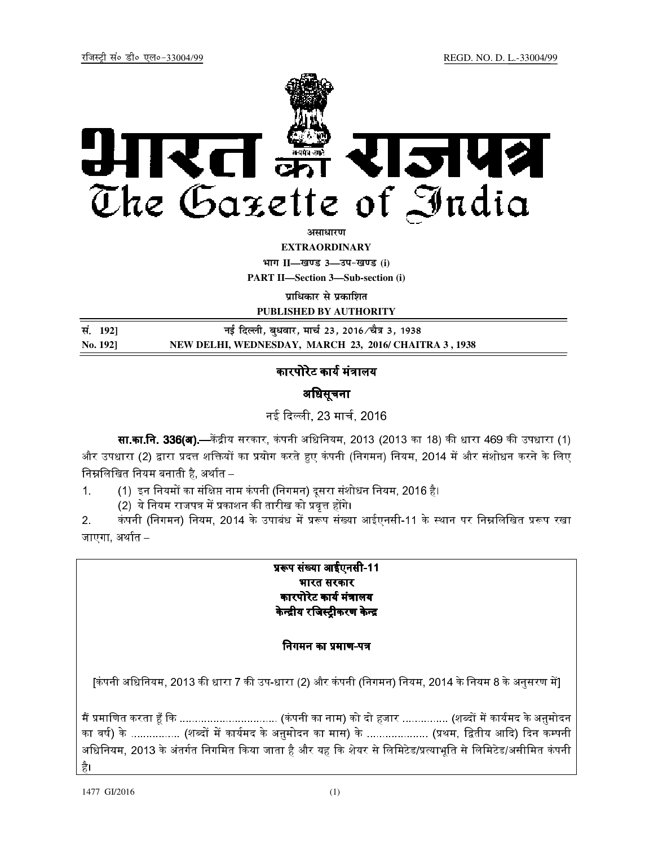

<u>असाधारण</u>

**EXTRAORDINARY**

**Hkkx II—[k.M 3—mi&[k.M (i) PART II—Section 3—Sub-section (i)** 

**पाधिकार से प्रकाशित** 

**PUBLISHED BY AUTHORITY**

| सं. 1921 | नई दिल्ली, बुधवार, मार्च 23, 2016 ∕चैत्र 3, 1938      |
|----------|-------------------------------------------------------|
| No. 1921 | NEW DELHI, WEDNESDAY, MARCH 23, 2016/ CHAITRA 3, 1938 |

# कारपोरेट कार्य मंत्रालय

# अधिसूचना

नई दली, 23 माच, 2016

**सा.का.नि. 336(अ).**—केंद्रीय सरकार. कंपनी अधिनियम. 2013 (2013 का 18) की धारा 469 की उपधारा (1) और उपधारा (2) द्वारा प्रदत्त शक्तियों का प्रयोग करते हुए कंपनी (निगमन) नियम, 2014 में और संशोधन करने के लिए निम्नलिखित नियम बनाती है, अर्थात –

1. (1) इन नियमों का संक्षिप्त नाम कंपनी (निगमन) दूसरा संशोधन नियम, 2016 है।

(2) ये नियम राजपत्र में प्रकाशन की तारीख को प्रवत्त होंगे।

2. कंपनी (निगमन) नियम. 2014 के उपाबंध में प्ररूप संख्या आईएनसी-11 के स्थान पर निम्नलिखित प्ररूप रखा जाएगा, अर्थात –

# प्ररूप संख्या आईएनसी-11 भारत सरकार कारपोरेट कार्य मंत्रालय केन्द्रीय रजिस्ट्रीकरण केन्द्र

## निगमन का प्रमाण-पत्र

[कंपनी अधिनियम, 2013 की धारा 7 की उप-धारा (2) और कंपनी (निगमन) नियम, 2014 के नियम 8 के अनसरण में]

मF मािणत करता Gँ Iक ................................ (कं पनी का नाम) को दो हजार ............... (शKद% म- काय3मद के अऩुमोदन का वर्ष) के ................ (शब्दों में कार्यमद के अनमोदन का मास) के .................... (प्रथम, द्वितीय आदि) दिन कम्पनी अधिनियम, 2013 के अंतर्गत निगमित किया जाता है और यह कि शेयर से लिमिटेड/प्रत्याभूति से लिमिटेड/असीमित कंपनी है।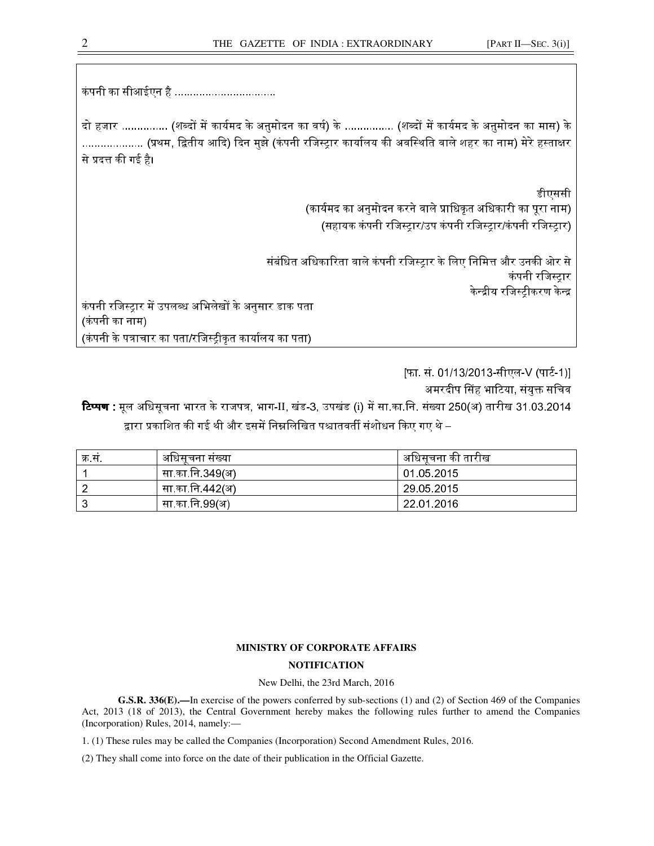कंपनी का सीआईएन है ................................

दो हजार ............... (शब्दों में कार्यमद के अऩमोदन का वर्ष) के ................. (शब्दों में कार्यमद के अऩमोदन का मास) के .................... (प्रथम, द्वितीय आदि) दिन मुझे (कंपनी रजिस्ट्रार कार्यालय की अवस्थिति वाले शहर का नाम) मेरे हस्ताक्षर से प्रदत्त की गई है।

> डीएससी (कार्यमद का अनुमोदन करने वाले प्राधिकृत अधिकारी का पूरा नाम) (सहायक कंपनी रजिस्टार/उप कंपनी रजिस्टार/कंपनी रजिस्टार)

संबंधित अधिकारिता वाले कंपनी रजिस्ट्रार के लिए निमित्त और उनकी ओर से कंपनी रजिस्ट्रार केन्द्रीय रजिस्टीकरण केन<mark>्</mark>द्र

कंपनी रजिस्टार में उपलब्ध अभिलेखों के अनसार डाक पता (कं पनी का नाम) (कंपनी के पत्राचार का पता/रजिस्ट्रीकृत कार्यालय का पता)

[फा. सं. 01/13/2013-सीएल-V (पार्ट-1)] अमरदीप सिंह भाटिया, संयक्त सचिव **टिप्पण** : मूल अधिसूचना भारत के राजपत्र, भाग-II, खंड-3, उपखंड (i) में सा.का.नि. संख्या 250(अ) तारीख 31.03.2014 द्वारा प्रकाशित की गई थी और इसमें निम्नलिखित पश्चातवर्ती संशोधन किए गए थे –

| क्र स | . अधिसूचना सख्या | , अधिसूचना को तारीख |
|-------|------------------|---------------------|
|       | सा का नि 349(अ)  | 01 05 2015          |
|       | सा का नि 442(अ)  | 29 05 2015          |
|       | सा का नि 99(अ)   | 22 01 2016          |

### **MINISTRY OF CORPORATE AFFAIRS**

### **NOTIFICATION**

#### New Delhi, the 23rd March, 2016

**G.S.R. 336(E).—**In exercise of the powers conferred by sub-sections (1) and (2) of Section 469 of the Companies Act, 2013 (18 of 2013), the Central Government hereby makes the following rules further to amend the Companies (Incorporation) Rules, 2014, namely:—

1. (1) These rules may be called the Companies (Incorporation) Second Amendment Rules, 2016.

(2) They shall come into force on the date of their publication in the Official Gazette.

Ξ